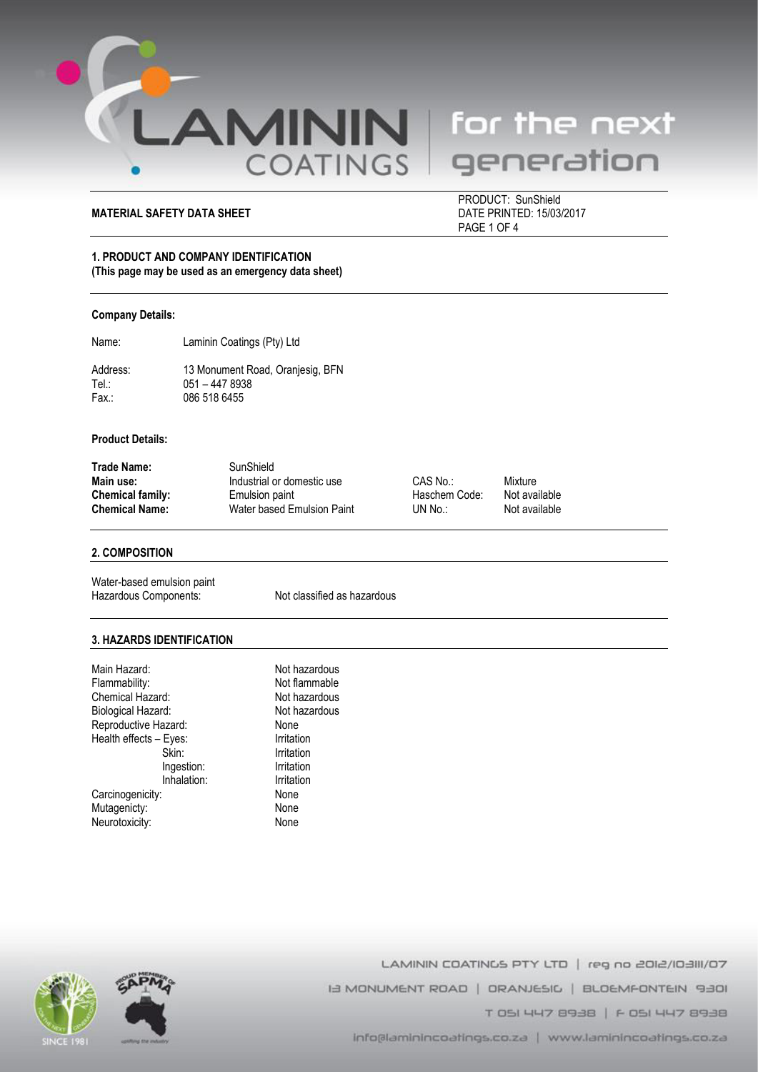

# generation

# **MATERIAL SAFETY DATA SHEET**

PRODUCT: SunShield<br>DATE PRINTED: 15/03/2017 PAGE 1 OF 4

# **1. PRODUCT AND COMPANY IDENTIFICATION (This page may be used as an emergency data sheet)**

#### **Company Details:**

Name: Laminin Coatings (Pty) Ltd

Address: 13 Monument Road, Oranjesig, BFN<br>Tel.: 051 - 447 8938 Tel.: 051 – 447 8938<br>Fax.: 086 518 6455 086 518 6455

# **Product Details:**

| Trade Name:      | SunShield                  |               |         |
|------------------|----------------------------|---------------|---------|
| Main use:        | Industrial or domestic use | CAS No.:      | Mixture |
| Chemical family: | Emulsion paint             | Haschem Code: | Not ava |
| Chemical Name:   | Water based Emulsion Paint | UN No.:       | Not ava |

Haschem Code: Not available<br>UN No.: Not available

**Not available** 

#### **2. COMPOSITION**

Water-based emulsion paint Hazardous Components: Not classified as hazardous

#### **3. HAZARDS IDENTIFICATION**

| Not hazardous |
|---------------|
| Not flammable |
| Not hazardous |
| Not hazardous |
| None          |
| Irritation    |
| Irritation    |
| Irritation    |
| Irritation    |
| None          |
| None          |
| None          |
|               |





LAMININ COATINGS PTY LTD | reg no 2012/103111/07 IS MONUMENT ROAD | ORANJESIC | BLOEMFONTEIN 9301 T 051 447 8938 | F 051 447 8938 info@laminincoatings.co.za | www.laminincoatings.co.za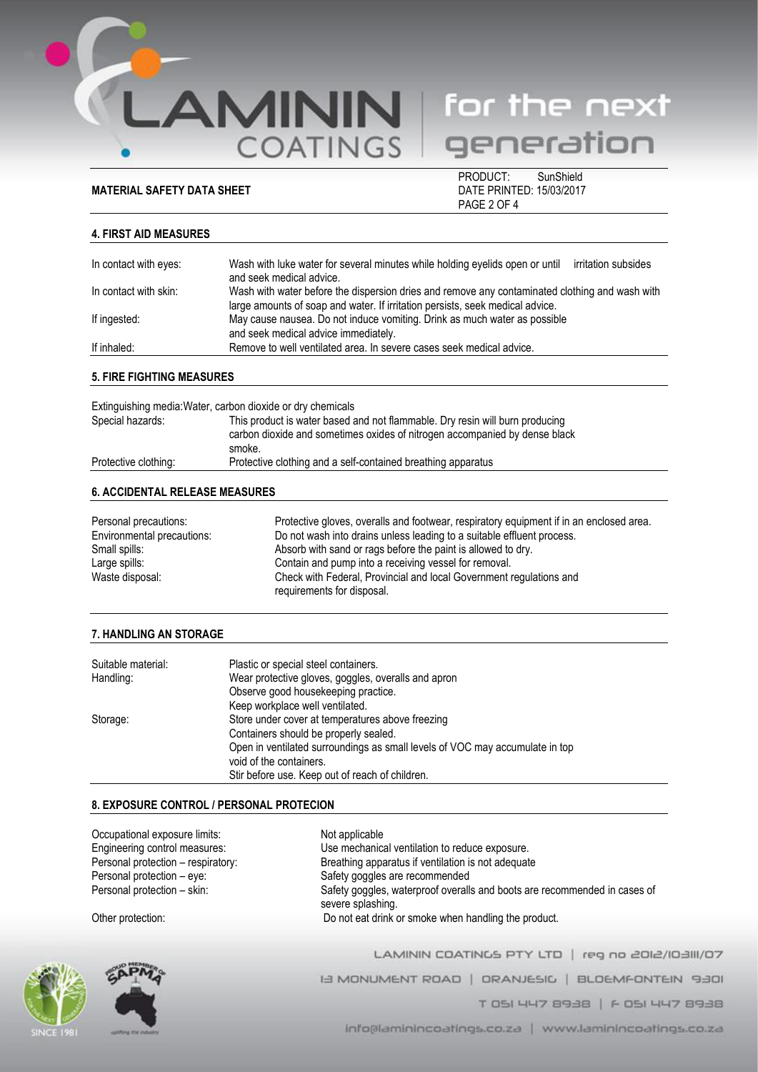**MATERIAL SAFETY DATA SHEET** 

**AMININ** for the next<br>COATINGS generation

PRODUCT: SunShield<br>DATE PRINTED: 15/03/2017 PAGE 2 OF 4

# **4. FIRST AID MEASURES**

| In contact with eyes: | Wash with luke water for several minutes while holding eyelids open or until<br>irritation subsides<br>and seek medical advice.                                                 |
|-----------------------|---------------------------------------------------------------------------------------------------------------------------------------------------------------------------------|
| In contact with skin: | Wash with water before the dispersion dries and remove any contaminated clothing and wash with<br>large amounts of soap and water. If irritation persists, seek medical advice. |
| If ingested:          | May cause nausea. Do not induce vomiting. Drink as much water as possible<br>and seek medical advice immediately.                                                               |
| If inhaled:           | Remove to well ventilated area. In severe cases seek medical advice.                                                                                                            |

# **5. FIRE FIGHTING MEASURES**

| Extinguishing media: Water, carbon dioxide or dry chemicals |                                                                                                                                                                      |
|-------------------------------------------------------------|----------------------------------------------------------------------------------------------------------------------------------------------------------------------|
| Special hazards:                                            | This product is water based and not flammable. Dry resin will burn producing<br>carbon dioxide and sometimes oxides of nitrogen accompanied by dense black<br>smoke. |
| Protective clothing:                                        | Protective clothing and a self-contained breathing apparatus                                                                                                         |
|                                                             |                                                                                                                                                                      |

# **6. ACCIDENTAL RELEASE MEASURES**

| Personal precautions:      | Protective gloves, overalls and footwear, respiratory equipment if in an enclosed area.           |
|----------------------------|---------------------------------------------------------------------------------------------------|
| Environmental precautions: | Do not wash into drains unless leading to a suitable effluent process.                            |
| Small spills:              | Absorb with sand or rags before the paint is allowed to dry.                                      |
| Large spills:              | Contain and pump into a receiving vessel for removal.                                             |
| Waste disposal:            | Check with Federal, Provincial and local Government regulations and<br>requirements for disposal. |

# **7. HANDLING AN STORAGE**

| Suitable material: | Plastic or special steel containers.                                         |
|--------------------|------------------------------------------------------------------------------|
| Handling:          | Wear protective gloves, goggles, overalls and apron                          |
|                    | Observe good housekeeping practice.                                          |
|                    | Keep workplace well ventilated.                                              |
| Storage:           | Store under cover at temperatures above freezing                             |
|                    | Containers should be properly sealed.                                        |
|                    | Open in ventilated surroundings as small levels of VOC may accumulate in top |
|                    | void of the containers.                                                      |
|                    | Stir before use. Keep out of reach of children.                              |

# **8. EXPOSURE CONTROL / PERSONAL PROTECION**

| Occupational exposure limits:<br>Engineering control measures: | Not applicable<br>Use mechanical ventilation to reduce exposure.                               |
|----------------------------------------------------------------|------------------------------------------------------------------------------------------------|
| Personal protection - respiratory:                             | Breathing apparatus if ventilation is not adequate                                             |
| Personal protection - eye:                                     | Safety goggles are recommended                                                                 |
| Personal protection - skin:                                    | Safety goggles, waterproof overalls and boots are recommended in cases of<br>severe splashing. |
| Other protection:                                              | Do not eat drink or smoke when handling the product.                                           |



LAMININ COATINGS PTY LTD | reg no 2012/10:3111/07 IB MONUMENT ROAD | ORANJESIC | BLOEMFONTEIN 9301 T 051 447 8938 | F 051 447 8938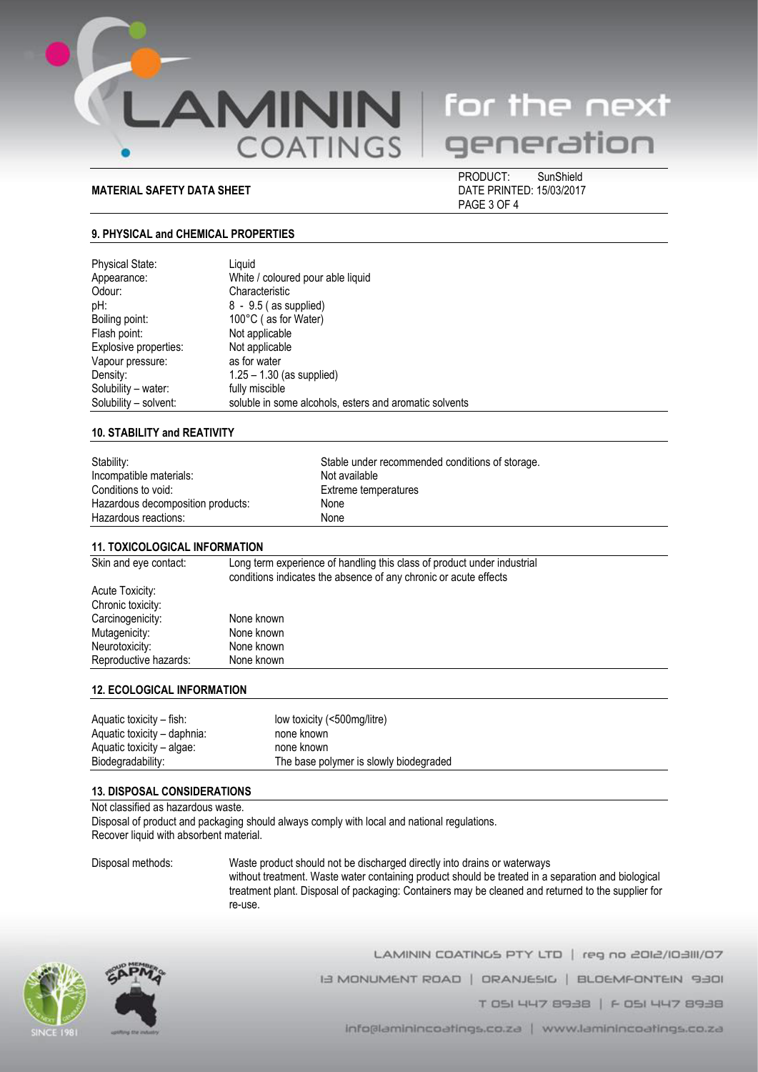

# **MATERIAL SAFETY DATA SHEET DATE PRINTED: 15/03/2017**

 PRODUCT: SunShield PAGE 3 OF 4

### **9. PHYSICAL and CHEMICAL PROPERTIES**

| <b>Physical State:</b> | Liguid                                                 |
|------------------------|--------------------------------------------------------|
| Appearance:            | White / coloured pour able liquid                      |
| Odour:                 | Characteristic                                         |
| pH:                    | $8 - 9.5$ (as supplied)                                |
| Boiling point:         | 100°C (as for Water)                                   |
| Flash point:           | Not applicable                                         |
| Explosive properties:  | Not applicable                                         |
| Vapour pressure:       | as for water                                           |
| Density:               | $1.25 - 1.30$ (as supplied)                            |
| Solubility – water:    | fully miscible                                         |
| Solubility - solvent:  | soluble in some alcohols, esters and aromatic solvents |

#### **10. STABILITY and REATIVITY**

| Stability:                        | Stable under recommended conditions of storage. |
|-----------------------------------|-------------------------------------------------|
| Incompatible materials:           | Not available                                   |
| Conditions to void:               | Extreme temperatures                            |
| Hazardous decomposition products: | None                                            |
| Hazardous reactions:              | None                                            |
|                                   |                                                 |

|                       | TE TUAIGULUGIGAL INFURMATION                                                                                                                |  |
|-----------------------|---------------------------------------------------------------------------------------------------------------------------------------------|--|
| Skin and eye contact: | Long term experience of handling this class of product under industrial<br>conditions indicates the absence of any chronic or acute effects |  |
| Acute Toxicity:       |                                                                                                                                             |  |
| Chronic toxicity:     |                                                                                                                                             |  |
| Carcinogenicity:      | None known                                                                                                                                  |  |
| Mutagenicity:         | None known                                                                                                                                  |  |
| Neurotoxicity:        | None known                                                                                                                                  |  |
| Reproductive hazards: | None known                                                                                                                                  |  |
|                       |                                                                                                                                             |  |

#### **12. ECOLOGICAL INFORMATION**

**11. TOXICOLOGICAL INFORMATION**

| Aquatic toxicity – fish:    | low toxicity (<500mg/litre)            |
|-----------------------------|----------------------------------------|
| Aquatic toxicity – daphnia: | none known                             |
| Aquatic toxicity – algae:   | none known                             |
| Biodegradability:           | The base polymer is slowly biodegraded |

#### **13. DISPOSAL CONSIDERATIONS**

Not classified as hazardous waste. Disposal of product and packaging should always comply with local and national regulations. Recover liquid with absorbent material.

Disposal methods: Waste product should not be discharged directly into drains or waterways without treatment. Waste water containing product should be treated in a separation and biological treatment plant. Disposal of packaging: Containers may be cleaned and returned to the supplier for re-use.



LAMININ COATINGS PTY LTD | reg no 2012/10:3111/07

I MONUMENT ROAD | ORANJESIC | BLOEMFONTEIN 9301

T 051 447 8938 | F 051 447 8938

info@laminincoatings.co.za | www.laminincoatings.co.za